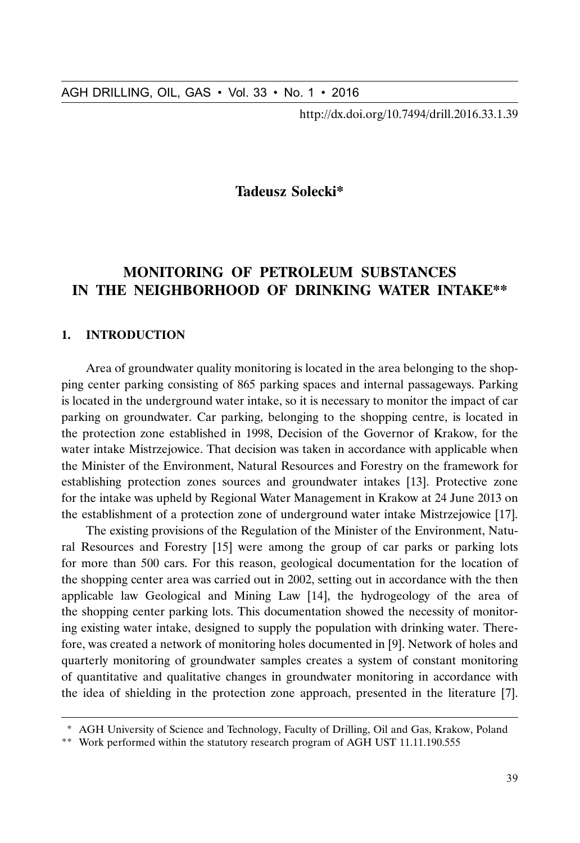http://dx.doi.org/10.7494/drill.2016.33.1.39

## **Tadeusz Solecki\***

# **MONITORING OF PETROLEUM SUBSTANCES IN THE NEIGHBORHOOD OF DRINKING WATER INTAKE\*\***

#### **1. INTRODUCTION**

Area of groundwater quality monitoring is located in the area belonging to the shopping center parking consisting of 865 parking spaces and internal passageways. Parking is located in the underground water intake, so it is necessary to monitor the impact of car parking on groundwater. Car parking, belonging to the shopping centre, is located in the protection zone established in 1998, Decision of the Governor of Krakow, for the water intake Mistrzejowice. That decision was taken in accordance with applicable when the Minister of the Environment, Natural Resources and Forestry on the framework for establishing protection zones sources and groundwater intakes [13]. Protective zone for the intake was upheld by Regional Water Management in Krakow at 24 June 2013 on the establishment of a protection zone of underground water intake Mistrzejowice [17].

AGH DRILLING, OIL, GAS • Vol. 33 • No. 1 • 2016<br>
http://dx.doi.org/10.7494/drill.2016.33.1.39<br> **MONITORING GF PETROLEUM SUBSTANCES**<br> **MONITORING GF PETROLEUM SUBSTANCES**<br> **MONITORING OF PETROLEUM SUBSTANCES**<br> **METER NEIGHB** The existing provisions of the Regulation of the Minister of the Environment, Natural Resources and Forestry [15] were among the group of car parks or parking lots for more than 500 cars. For this reason, geological documentation for the location of the shopping center area was carried out in 2002, setting out in accordance with the then applicable law Geological and Mining Law [14], the hydrogeology of the area of the shopping center parking lots. This documentation showed the necessity of monitoring existing water intake, designed to supply the population with drinking water. Therefore, was created a network of monitoring holes documented in [9]. Network of holes and quarterly monitoring of groundwater samples creates a system of constant monitoring of quantitative and qualitative changes in groundwater monitoring in accordance with the idea of shielding in the protection zone approach, presented in the literature [7].

<sup>\*</sup> AGH University of Science and Technology, Faculty of Drilling, Oil and Gas, Krakow, Poland

<sup>\*\*</sup> Work performed within the statutory research program of AGH UST 11.11.190.555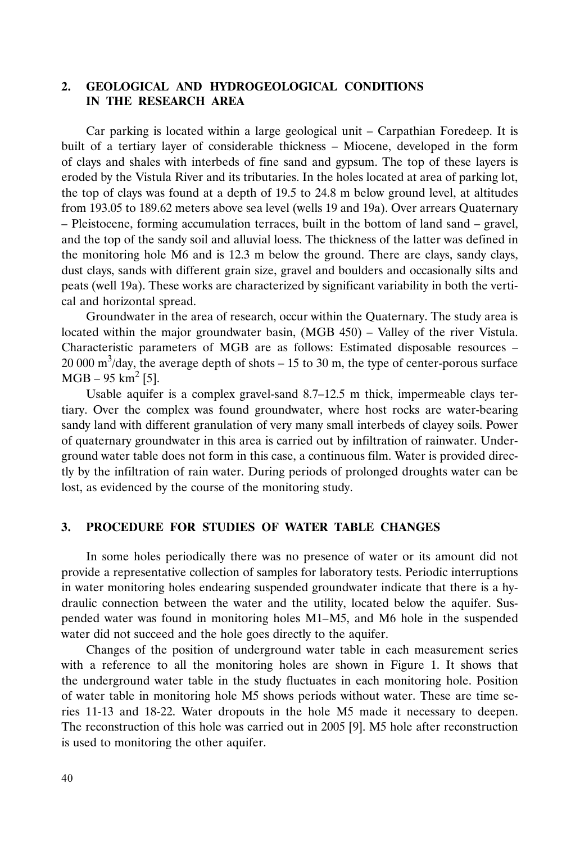## **2. GEOLOGICAL AND HYDROGEOLOGICAL CONDITIONS IN THE RESEARCH AREA**

Car parking is located within a large geological unit – Carpathian Foredeep. It is built of a tertiary layer of considerable thickness – Miocene, developed in the form of clays and shales with interbeds of fine sand and gypsum. The top of these layers is eroded by the Vistula River and its tributaries. In the holes located at area of parking lot, the top of clays was found at a depth of 19.5 to 24.8 m below ground level, at altitudes from 193.05 to 189.62 meters above sea level (wells 19 and 19a). Over arrears Quaternary – Pleistocene, forming accumulation terraces, built in the bottom of land sand – gravel, and the top of the sandy soil and alluvial loess. The thickness of the latter was defined in the monitoring hole M6 and is 12.3 m below the ground. There are clays, sandy clays, dust clays, sands with different grain size, gravel and boulders and occasionally silts and peats (well 19a). These works are characterized by significant variability in both the vertical and horizontal spread.

Groundwater in the area of research, occur within the Quaternary. The study area is located within the major groundwater basin, (MGB 450) – Valley of the river Vistula. Characteristic parameters of MGB are as follows: Estimated disposable resources – 20 000 m<sup>3</sup>/day, the average depth of shots  $-15$  to 30 m, the type of center-porous surface MGB – 95 km<sup>2</sup> [5].

Usable aquifer is a complex gravel-sand 8.7–12.5 m thick, impermeable clays tertiary. Over the complex was found groundwater, where host rocks are water-bearing sandy land with different granulation of very many small interbeds of clayey soils. Power of quaternary groundwater in this area is carried out by infiltration of rainwater. Underground water table does not form in this case, a continuous film. Water is provided directly by the infiltration of rain water. During periods of prolonged droughts water can be lost, as evidenced by the course of the monitoring study.

#### **3. PROCEDURE FOR STUDIES OF WATER TABLE CHANGES**

In some holes periodically there was no presence of water or its amount did not provide a representative collection of samples for laboratory tests. Periodic interruptions in water monitoring holes endearing suspended groundwater indicate that there is a hydraulic connection between the water and the utility, located below the aquifer. Suspended water was found in monitoring holes M1–M5, and M6 hole in the suspended water did not succeed and the hole goes directly to the aquifer.

Changes of the position of underground water table in each measurement series with a reference to all the monitoring holes are shown in Figure 1. It shows that the underground water table in the study fluctuates in each monitoring hole. Position of water table in monitoring hole M5 shows periods without water. These are time series 11-13 and 18-22. Water dropouts in the hole M5 made it necessary to deepen. The reconstruction of this hole was carried out in 2005 [9]. M5 hole after reconstruction is used to monitoring the other aquifer.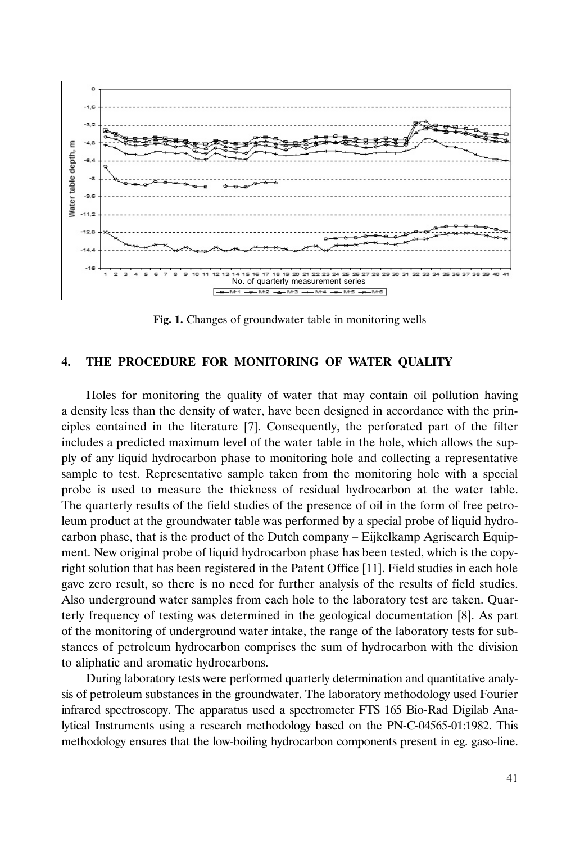

**Fig. 1.** Changes of groundwater table in monitoring wells

#### **4. THE PROCEDURE FOR MONITORING OF WATER QUALITY**

Holes for monitoring the quality of water that may contain oil pollution having a density less than the density of water, have been designed in accordance with the principles contained in the literature [7]. Consequently, the perforated part of the filter includes a predicted maximum level of the water table in the hole, which allows the supply of any liquid hydrocarbon phase to monitoring hole and collecting a representative sample to test. Representative sample taken from the monitoring hole with a special probe is used to measure the thickness of residual hydrocarbon at the water table. The quarterly results of the field studies of the presence of oil in the form of free petroleum product at the groundwater table was performed by a special probe of liquid hydrocarbon phase, that is the product of the Dutch company – Eijkelkamp Agrisearch Equipment. New original probe of liquid hydrocarbon phase has been tested, which is the copyright solution that has been registered in the Patent Office [11]. Field studies in each hole gave zero result, so there is no need for further analysis of the results of field studies. Also underground water samples from each hole to the laboratory test are taken. Quarterly frequency of testing was determined in the geological documentation [8]. As part of the monitoring of underground water intake, the range of the laboratory tests for substances of petroleum hydrocarbon comprises the sum of hydrocarbon with the division to aliphatic and aromatic hydrocarbons.

During laboratory tests were performed quarterly determination and quantitative analysis of petroleum substances in the groundwater. The laboratory methodology used Fourier infrared spectroscopy. The apparatus used a spectrometer FTS 165 Bio-Rad Digilab Analytical Instruments using a research methodology based on the PN-C-04565-01:1982. This methodology ensures that the low-boiling hydrocarbon components present in eg. gaso-line.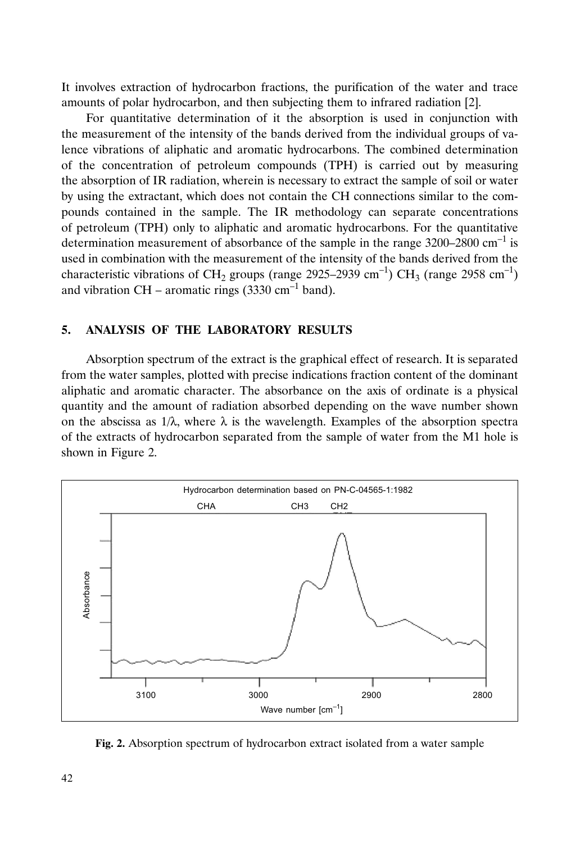It involves extraction of hydrocarbon fractions, the purification of the water and trace amounts of polar hydrocarbon, and then subjecting them to infrared radiation [2].

For quantitative determination of it the absorption is used in conjunction with the measurement of the intensity of the bands derived from the individual groups of valence vibrations of aliphatic and aromatic hydrocarbons. The combined determination of the concentration of petroleum compounds (TPH) is carried out by measuring the absorption of IR radiation, wherein is necessary to extract the sample of soil or water by using the extractant, which does not contain the CH connections similar to the compounds contained in the sample. The IR methodology can separate concentrations of petroleum (TPH) only to aliphatic and aromatic hydrocarbons. For the quantitative determination measurement of absorbance of the sample in the range  $3200-2800$  cm<sup>-1</sup> is used in combination with the measurement of the intensity of the bands derived from the characteristic vibrations of CH<sub>2</sub> groups (range 2925–2939 cm<sup>-1</sup>) CH<sub>3</sub> (range 2958 cm<sup>-1</sup>) and vibration CH – aromatic rings  $(3330 \text{ cm}^{-1} \text{ band})$ .

#### **5. ANALYSIS OF THE LABORATORY RESULTS**

Absorption spectrum of the extract is the graphical effect of research. It is separated from the water samples, plotted with precise indications fraction content of the dominant aliphatic and aromatic character. The absorbance on the axis of ordinate is a physical quantity and the amount of radiation absorbed depending on the wave number shown on the abscissa as  $1/\lambda$ , where  $\lambda$  is the wavelength. Examples of the absorption spectra of the extracts of hydrocarbon separated from the sample of water from the M1 hole is shown in Figure 2.



**Fig. 2.** Absorption spectrum of hydrocarbon extract isolated from a water sample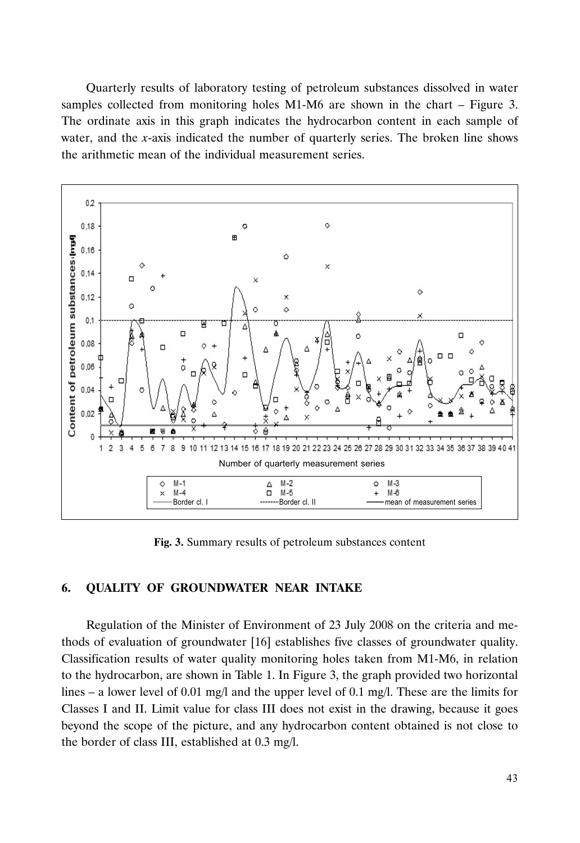Quarterly results of laboratory testing of petroleum substances dissolved in water samples collected from monitoring holes M1-M6 are shown in the chart – Figure 3. The ordinate axis in this graph indicates the hydrocarbon content in each sample of water, and the *x*-axis indicated the number of quarterly series. The broken line shows the arithmetic mean of the individual measurement series.



**Fig. 3.** Summary results of petroleum substances content

#### **6. QUALITY OF GROUNDWATER NEAR INTAKE**

Regulation of the Minister of Environment of 23 July 2008 on the criteria and methods of evaluation of groundwater [16] establishes five classes of groundwater quality. Classification results of water quality monitoring holes taken from M1-M6, in relation to the hydrocarbon, are shown in Table 1. In Figure 3, the graph provided two horizontal lines – a lower level of 0.01 mg/l and the upper level of 0.1 mg/l. These are the limits for Classes I and II. Limit value for class III does not exist in the drawing, because it goes beyond the scope of the picture, and any hydrocarbon content obtained is not close to the border of class III, established at 0.3 mg/l.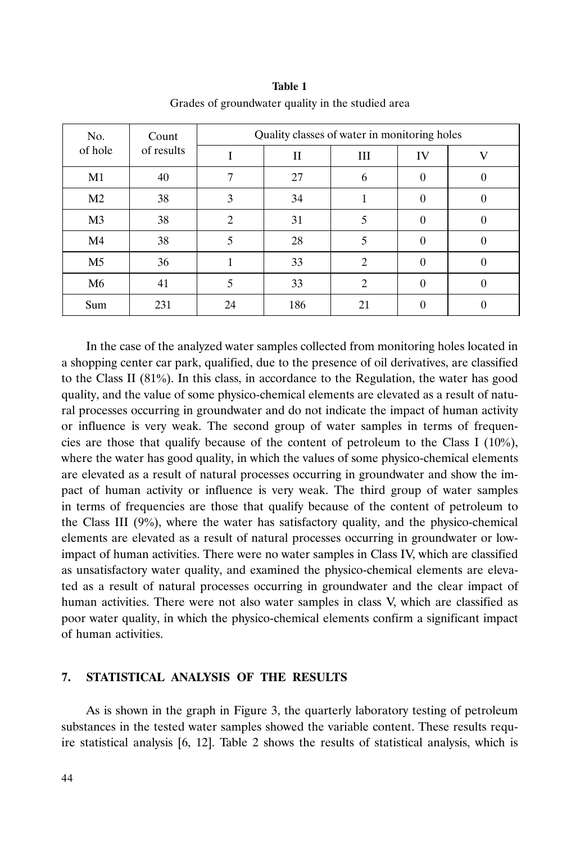| No.<br>of hole | Count<br>of results | Quality classes of water in monitoring holes |     |                |          |   |  |
|----------------|---------------------|----------------------------------------------|-----|----------------|----------|---|--|
|                |                     |                                              | П   | Ш              | IV       |   |  |
| M1             | 40                  |                                              | 27  | 6              | U        |   |  |
| M <sub>2</sub> | 38                  | 3                                            | 34  |                | $\Omega$ |   |  |
| M <sub>3</sub> | 38                  | $\overline{c}$                               | 31  | 5              | $\theta$ | 0 |  |
| M <sub>4</sub> | 38                  | 5                                            | 28  |                | $\Omega$ |   |  |
| M5             | 36                  |                                              | 33  | $\mathfrak{D}$ | $\Omega$ |   |  |
| M <sub>6</sub> | 41                  | 5                                            | 33  | $\overline{c}$ | $\theta$ |   |  |
| Sum            | 231                 | 24                                           | 186 | 21             |          |   |  |

**Table 1** Grades of groundwater quality in the studied area

In the case of the analyzed water samples collected from monitoring holes located in a shopping center car park, qualified, due to the presence of oil derivatives, are classified to the Class II  $(81\%)$ . In this class, in accordance to the Regulation, the water has good quality, and the value of some physico-chemical elements are elevated as a result of natural processes occurring in groundwater and do not indicate the impact of human activity or influence is very weak. The second group of water samples in terms of frequencies are those that qualify because of the content of petroleum to the Class I  $(10\%)$ , where the water has good quality, in which the values of some physico-chemical elements are elevated as a result of natural processes occurring in groundwater and show the impact of human activity or influence is very weak. The third group of water samples in terms of frequencies are those that qualify because of the content of petroleum to the Class III  $(9%)$ , where the water has satisfactory quality, and the physico-chemical elements are elevated as a result of natural processes occurring in groundwater or lowimpact of human activities. There were no water samples in Class IV, which are classified as unsatisfactory water quality, and examined the physico-chemical elements are elevated as a result of natural processes occurring in groundwater and the clear impact of human activities. There were not also water samples in class V, which are classified as poor water quality, in which the physico-chemical elements confirm a significant impact of human activities.

#### **7. STATISTICAL ANALYSIS OF THE RESULTS**

As is shown in the graph in Figure 3, the quarterly laboratory testing of petroleum substances in the tested water samples showed the variable content. These results require statistical analysis [6, 12]. Table 2 shows the results of statistical analysis, which is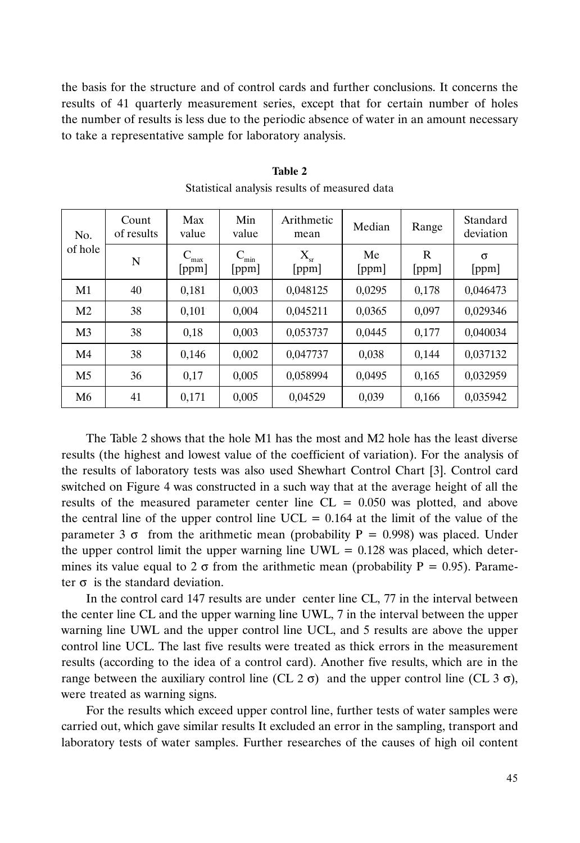the basis for the structure and of control cards and further conclusions. It concerns the results of 41 quarterly measurement series, except that for certain number of holes the number of results is less due to the periodic absence of water in an amount necessary to take a representative sample for laboratory analysis.

| No.<br>of hole | Count<br>of results | Max<br>value      | Min<br>value        | Arithmetic<br>mean    | Median      | Range      | Standard<br>deviation |
|----------------|---------------------|-------------------|---------------------|-----------------------|-------------|------------|-----------------------|
|                | N                   | ⊂<br>max<br>[ppm] | $C_{\min}$<br>[ppm] | $\rm X_{sr}$<br>[ppm] | Me<br>[ppm] | R<br>[ppm] | σ<br>[ppm]            |
| M1             | 40                  | 0,181             | 0,003               | 0,048125              | 0,0295      | 0,178      | 0,046473              |
| M <sub>2</sub> | 38                  | 0,101             | 0.004               | 0,045211              | 0,0365      | 0,097      | 0,029346              |
| M <sub>3</sub> | 38                  | 0,18              | 0,003               | 0,053737              | 0,0445      | 0,177      | 0,040034              |
| M <sub>4</sub> | 38                  | 0,146             | 0,002               | 0.047737              | 0,038       | 0,144      | 0,037132              |
| M <sub>5</sub> | 36                  | 0,17              | 0,005               | 0.058994              | 0.0495      | 0,165      | 0,032959              |
| M6             | 41                  | 0,171             | 0,005               | 0,04529               | 0,039       | 0,166      | 0,035942              |

**Table 2** Statistical analysis results of measured data

The Table 2 shows that the hole M1 has the most and M2 hole has the least diverse results (the highest and lowest value of the coefficient of variation). For the analysis of the results of laboratory tests was also used Shewhart Control Chart [3]. Control card switched on Figure 4 was constructed in a such way that at the average height of all the results of the measured parameter center line  $CL = 0.050$  was plotted, and above the central line of the upper control line  $UCL = 0.164$  at the limit of the value of the parameter 3  $\sigma$  from the arithmetic mean (probability P = 0.998) was placed. Under the upper control limit the upper warning line  $UWL = 0.128$  was placed, which determines its value equal to 2  $\sigma$  from the arithmetic mean (probability P = 0.95). Parameter  $\sigma$  is the standard deviation.

In the control card 147 results are under center line CL, 77 in the interval between the center line CL and the upper warning line UWL, 7 in the interval between the upper warning line UWL and the upper control line UCL, and 5 results are above the upper control line UCL. The last five results were treated as thick errors in the measurement results (according to the idea of a control card). Another five results, which are in the range between the auxiliary control line (CL  $2 \sigma$ ) and the upper control line (CL  $3 \sigma$ ), were treated as warning signs.

For the results which exceed upper control line, further tests of water samples were carried out, which gave similar results It excluded an error in the sampling, transport and laboratory tests of water samples. Further researches of the causes of high oil content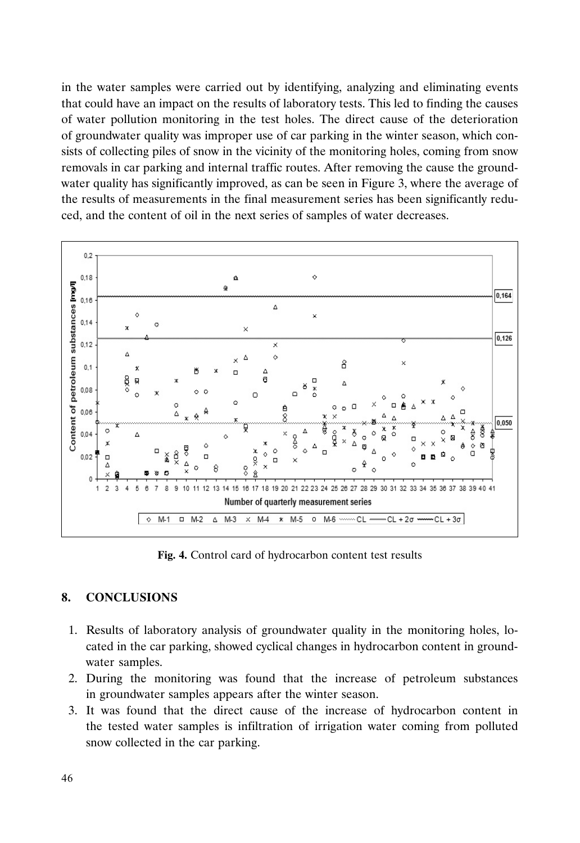in the water samples were carried out by identifying, analyzing and eliminating events that could have an impact on the results of laboratory tests. This led to finding the causes of water pollution monitoring in the test holes. The direct cause of the deterioration of groundwater quality was improper use of car parking in the winter season, which consists of collecting piles of snow in the vicinity of the monitoring holes, coming from snow removals in car parking and internal traffic routes. After removing the cause the groundwater quality has significantly improved, as can be seen in Figure 3, where the average of the results of measurements in the final measurement series has been significantly reduced, and the content of oil in the next series of samples of water decreases.



**Fig. 4.** Control card of hydrocarbon content test results

## **8. CONCLUSIONS**

- 1. Results of laboratory analysis of groundwater quality in the monitoring holes, located in the car parking, showed cyclical changes in hydrocarbon content in groundwater samples.
- 2. During the monitoring was found that the increase of petroleum substances in groundwater samples appears after the winter season.
- 3. It was found that the direct cause of the increase of hydrocarbon content in the tested water samples is infiltration of irrigation water coming from polluted snow collected in the car parking.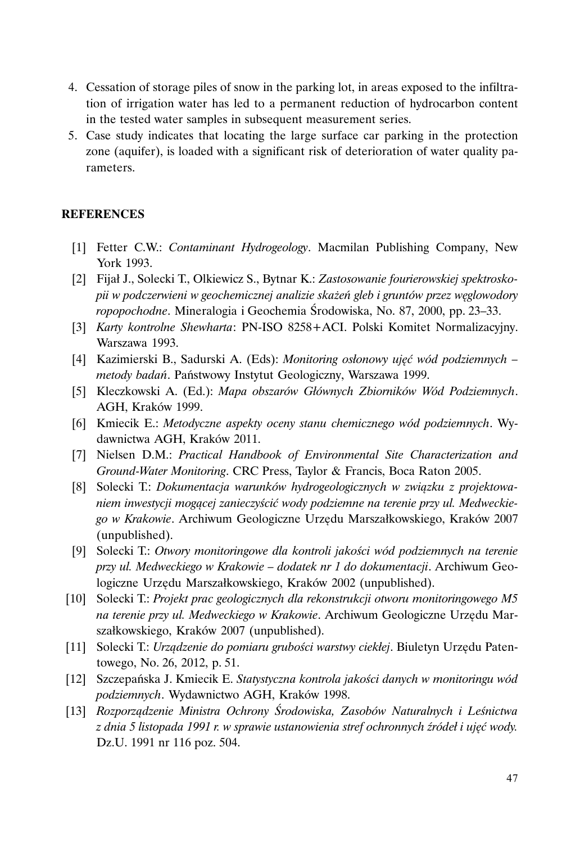- 4. Cessation of storage piles of snow in the parking lot, in areas exposed to the infiltration of irrigation water has led to a permanent reduction of hydrocarbon content in the tested water samples in subsequent measurement series.
- 5. Case study indicates that locating the large surface car parking in the protection zone (aquifer), is loaded with a significant risk of deterioration of water quality parameters.

### **REFERENCES**

- [1] Fetter C.W.: *Contaminant Hydrogeology*. Macmilan Publishing Company, New York 1993.
- [2] Fijał J., Solecki T., Olkiewicz S., Bytnar K.: *Zastosowanie fourierowskiej spektroskopii w podczerwieni w geochemicznej analizie skażeń gleb i gruntów przez węglowodory ropopochodne*. Mineralogia i Geochemia Środowiska, No. 87, 2000, pp. 23–33.
- [3] *Karty kontrolne Shewharta*: PN-ISO 8258+ACI. Polski Komitet Normalizacyjny. Warszawa 1993.
- [4] Kazimierski B., Sadurski A. (Eds): *Monitoring osłonowy ujęć wód podziemnych – metody badań*. Państwowy Instytut Geologiczny, Warszawa 1999.
- [5] Kleczkowski A. (Ed.): *Mapa obszarów Głównych Zbiorników Wód Podziemnych*. AGH, Kraków 1999.
- [6] Kmiecik E.: *Metodyczne aspekty oceny stanu chemicznego wód podziemnych*. Wydawnictwa AGH, Kraków 2011.
- [7] Nielsen D.M.: *Practical Handbook of Environmental Site Characterization and Ground-Water Monitoring*. CRC Press, Taylor & Francis, Boca Raton 2005.
- [8] Solecki T.: *Dokumentacja warunków hydrogeologicznych w związku z projektowaniem inwestycji mogącej zanieczyścić wody podziemne na terenie przy ul. Medweckiego w Krakowie*. Archiwum Geologiczne Urzędu Marszałkowskiego, Kraków 2007 (unpublished).
- [9] Solecki T.: *Otwory monitoringowe dla kontroli jakości wód podziemnych na terenie przy ul. Medweckiego w Krakowie – dodatek nr 1 do dokumentacji*. Archiwum Geologiczne Urzędu Marszałkowskiego, Kraków 2002 (unpublished).
- [10] Solecki T.: *Projekt prac geologicznych dla rekonstrukcji otworu monitoringowego M5 na terenie przy ul. Medweckiego w Krakowie*. Archiwum Geologiczne Urzędu Marszałkowskiego, Kraków 2007 (unpublished).
- [11] Solecki T.: *Urządzenie do pomiaru grubości warstwy ciekłej*. Biuletyn Urzędu Patentowego, No. 26, 2012, p. 51.
- [12] Szczepańska J. Kmiecik E. *Statystyczna kontrola jakości danych w monitoringu wód podziemnych*. Wydawnictwo AGH, Kraków 1998.
- [13] *Rozporządzenie Ministra Ochrony Środowiska, Zasobów Naturalnych i Leśnictwa z dnia 5 listopada 1991 r. w sprawie ustanowienia stref ochronnych źródeł i ujęć wody.* Dz.U. 1991 nr 116 poz. 504.